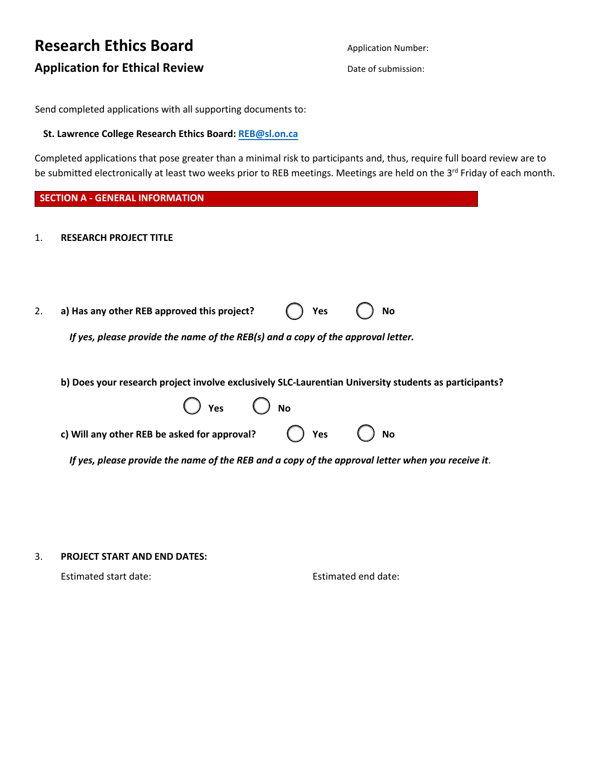# **Research Ethics Board Application for Ethical Review**

Application Number: Date of submission:

Send completed applications with all supporting documents to:

### **St. Lawrence College Research Ethics Board: REB@sl.on.ca**

Completed applications that pose greater than a minimal risk to participants and, thus, require full board review are to be submitted electronically at least two weeks prior to REB meetings. Meetings are held on the 3<sup>rd</sup> Friday of each month.

|                | <b>SECTION A - GENERAL INFORMATION</b>                                                                                                                                                                                                                                                                  |
|----------------|---------------------------------------------------------------------------------------------------------------------------------------------------------------------------------------------------------------------------------------------------------------------------------------------------------|
| $\mathbf{1}$ . | <b>RESEARCH PROJECT TITLE</b>                                                                                                                                                                                                                                                                           |
| 2.             | Yes<br>a) Has any other REB approved this project?<br><b>No</b><br>If yes, please provide the name of the REB(s) and a copy of the approval letter.                                                                                                                                                     |
|                | b) Does your research project involve exclusively SLC-Laurentian University students as participants?<br>$)$ Yes $\bigcirc$ No<br>Yes<br>c) Will any other REB be asked for approval?<br><b>No</b><br>If yes, please provide the name of the REB and a copy of the approval letter when you receive it. |
|                |                                                                                                                                                                                                                                                                                                         |

### 3. **PROJECT START AND END DATES:**

Estimated start date: Estimated end date: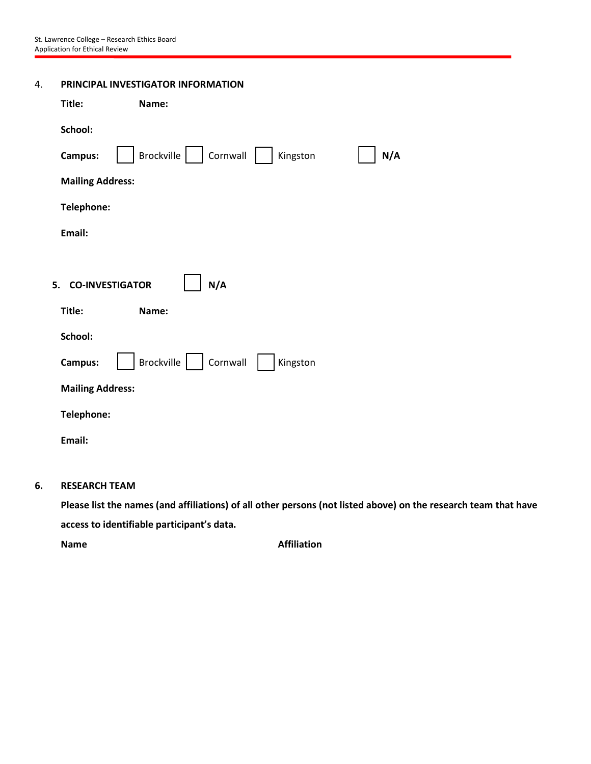| 4. | PRINCIPAL INVESTIGATOR INFORMATION |                                           |  |
|----|------------------------------------|-------------------------------------------|--|
|    | Title:                             | Name:                                     |  |
|    | School:                            |                                           |  |
|    | Campus:                            | Brockville<br>Cornwall<br>Kingston<br>N/A |  |
|    | <b>Mailing Address:</b>            |                                           |  |
|    | Telephone:                         |                                           |  |
|    | Email:                             |                                           |  |
|    |                                    |                                           |  |
|    | 5. CO-INVESTIGATOR                 | N/A                                       |  |
|    | Title:                             | Name:                                     |  |
|    | School:                            |                                           |  |
|    | Campus:                            | Brockville<br>Cornwall<br>Kingston        |  |
|    | <b>Mailing Address:</b>            |                                           |  |
|    | Telephone:                         |                                           |  |
|    | Email:                             |                                           |  |

# **6. RESEARCH TEAM**

**Please list the names (and affiliations) of all other persons (not listed above) on the research team that have access to identifiable participant's data.**

**Name Affiliation**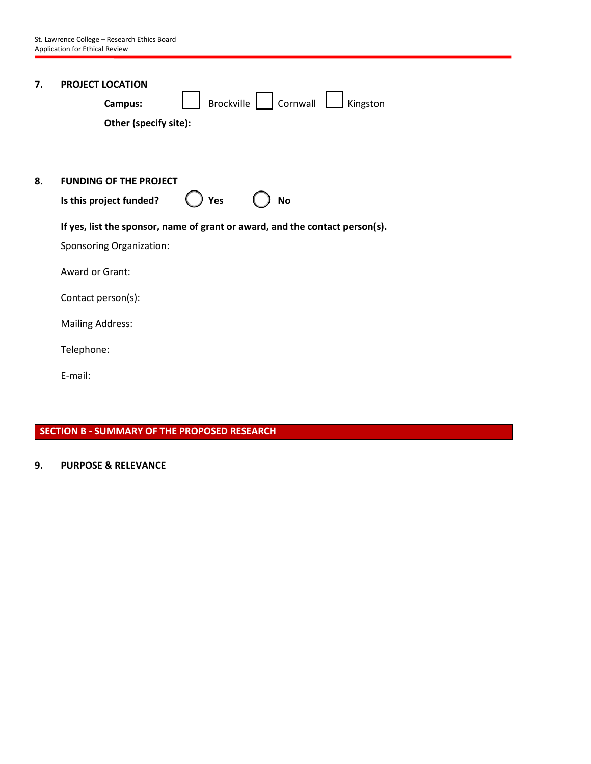| 7. | <b>PROJECT LOCATION</b><br>Cornwall<br>Brockville<br>Kingston<br>Campus:<br>Other (specify site): |
|----|---------------------------------------------------------------------------------------------------|
| 8. | <b>FUNDING OF THE PROJECT</b><br>Is this project funded?<br>Yes<br><b>No</b>                      |
|    | If yes, list the sponsor, name of grant or award, and the contact person(s).                      |
|    | <b>Sponsoring Organization:</b>                                                                   |
|    | Award or Grant:                                                                                   |
|    | Contact person(s):                                                                                |
|    | <b>Mailing Address:</b>                                                                           |
|    | Telephone:                                                                                        |
|    | E-mail:                                                                                           |
|    |                                                                                                   |

# **SECTION B - SUMMARY OF THE PROPOSED RESEARCH**

# **9. PURPOSE & RELEVANCE**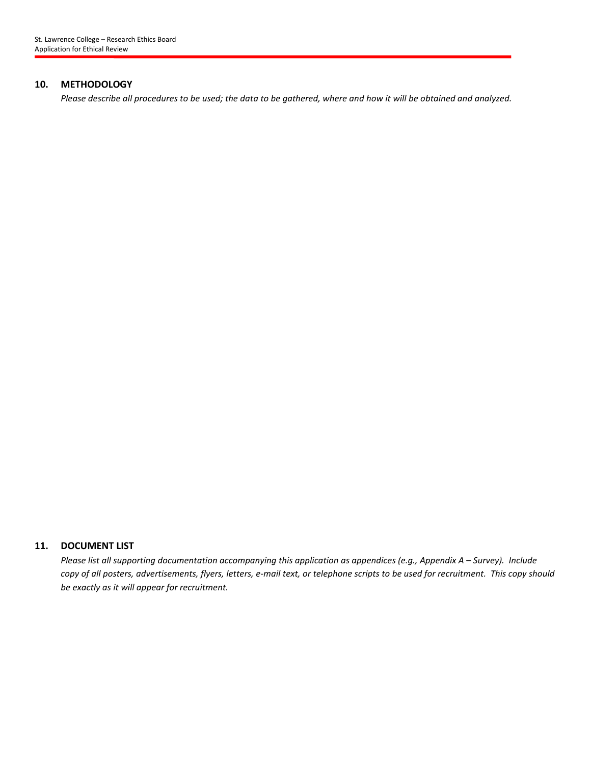#### **10. METHODOLOGY**

*Please describe all procedures to be used; the data to be gathered, where and how it will be obtained and analyzed.*

### **11. DOCUMENT LIST**

*Please list all supporting documentation accompanying this application as appendices (e.g., Appendix A – Survey). Include copy of all posters, advertisements, flyers, letters, e-mail text, or telephone scripts to be used for recruitment. This copy should be exactly as it will appear for recruitment.*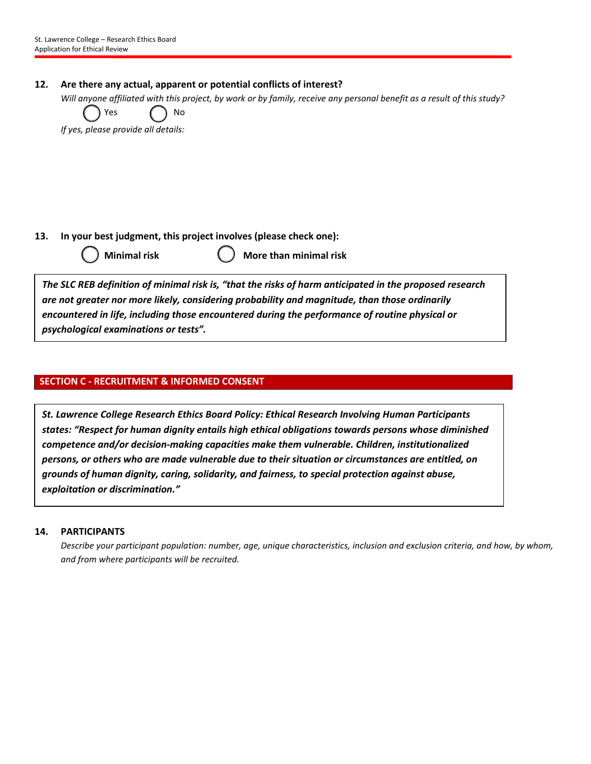### **12. Are there any actual, apparent or potential conflicts of interest?**

*Will anyone affiliated with this project, by work or by family, receive any personal benefit as a result of this study?*

Yes ( ) No

*If yes, please provide all details:*

**13. In your best judgment, this project involves (please check one):**

|  |  | <b>Minimal ris</b> |  |
|--|--|--------------------|--|

**Minimal risk More than minimal risk**

*The SLC REB definition of minimal risk is, "that the risks of harm anticipated in the proposed research are not greater nor more likely, considering probability and magnitude, than those ordinarily encountered in life, including those encountered during the performance of routine physical or psychological examinations or tests".*

# **SECTION C - RECRUITMENT & INFORMED CONSENT**

*St. Lawrence College Research Ethics Board Policy: Ethical Research Involving Human Participants states: "Respect for human dignity entails high ethical obligations towards persons whose diminished competence and/or decision-making capacities make them vulnerable. Children, institutionalized persons, or others who are made vulnerable due to their situation or circumstances are entitled, on grounds of human dignity, caring, solidarity, and fairness, to special protection against abuse, exploitation or discrimination."*

### **14. PARTICIPANTS**

*Describe your participant population: number, age, unique characteristics, inclusion and exclusion criteria, and how, by whom, and from where participants will be recruited.*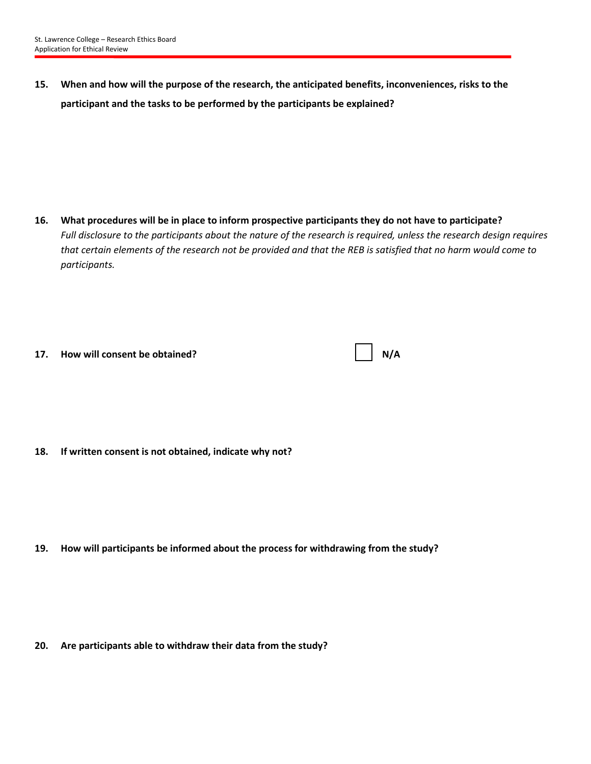**15. When and how will the purpose of the research, the anticipated benefits, inconveniences, risks to the participant and the tasks to be performed by the participants be explained?**

**16. What procedures will be in place to inform prospective participants they do not have to participate?** *Full disclosure to the participants about the nature of the research is required, unless the research design requires that certain elements of the research not be provided and that the REB is satisfied that no harm would come to participants.*

| 17. | How will consent be obtained? |
|-----|-------------------------------|
|     |                               |

|  | ٦/A |
|--|-----|
|--|-----|

**18. If written consent is not obtained, indicate why not?**

**19. How will participants be informed about the process for withdrawing from the study?**

**20. Are participants able to withdraw their data from the study?**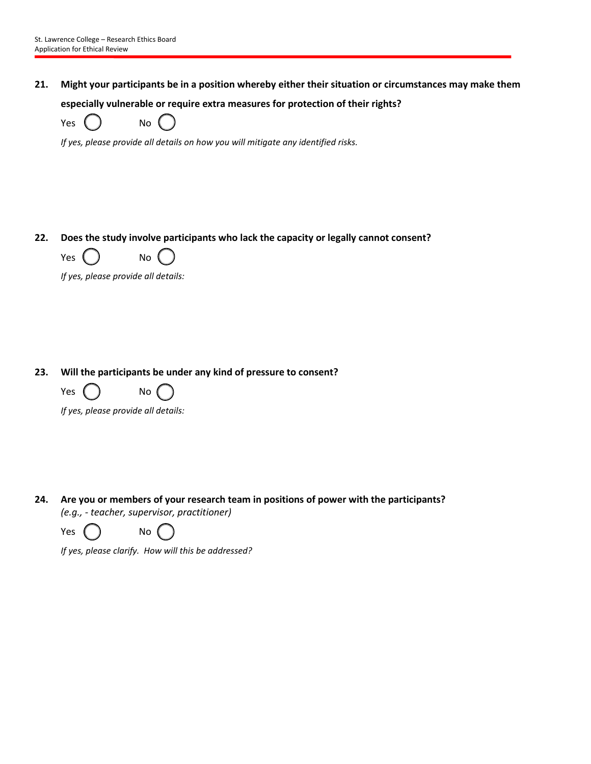**21. Might your participants be in a position whereby either their situation or circumstances may make them especially vulnerable or require extra measures for protection of their rights?**

Yes ( ) No

*If yes, please provide all details on how you will mitigate any identified risks.*

# **22. Does the study involve participants who lack the capacity or legally cannot consent?**



*If yes, please provide all details:*

### **23. Will the participants be under any kind of pressure to consent?**



*If yes, please provide all details:*

**24. Are you or members of your research team in positions of power with the participants?**  *(e.g., - teacher, supervisor, practitioner)*

| Yes | No |
|-----|----|
|     |    |

*If yes, please clarify. How will this be addressed?*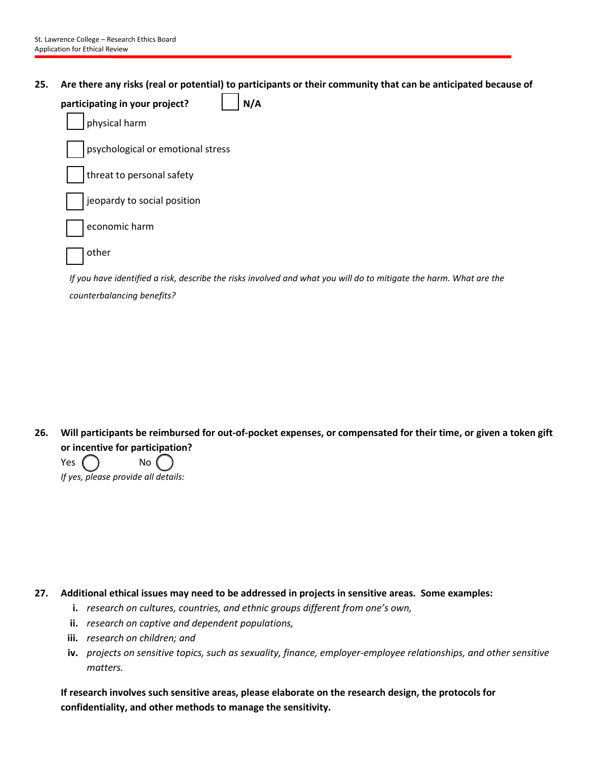**25. Are there any risks (real or potential) to participants or their community that can be anticipated because of** 

| N/A<br>participating in your project?                                                                              |
|--------------------------------------------------------------------------------------------------------------------|
| physical harm                                                                                                      |
| psychological or emotional stress                                                                                  |
| threat to personal safety                                                                                          |
| jeopardy to social position                                                                                        |
| economic harm                                                                                                      |
| other                                                                                                              |
| If you have identified a risk, describe the risks involved and what you will do to mitigate the harm. What are the |
| counterbalancing benefits?                                                                                         |

**26. Will participants be reimbursed for out-of-pocket expenses, or compensated for their time, or given a token gift or incentive for participation?**

Yes  $\bigcap$  No  $\bigcap$ *If yes, please provide all details:*

**27. Additional ethical issues may need to be addressed in projects in sensitive areas. Some examples:**

- **i.** *research on cultures, countries, and ethnic groups different from one's own,*
- **ii.** *research on captive and dependent populations,*
- **iii.** *research on children; and*
- **iv.** *projects on sensitive topics, such as sexuality, finance, employer-employee relationships, and other sensitive matters.*

**If research involves such sensitive areas, please elaborate on the research design, the protocols for confidentiality, and other methods to manage the sensitivity.**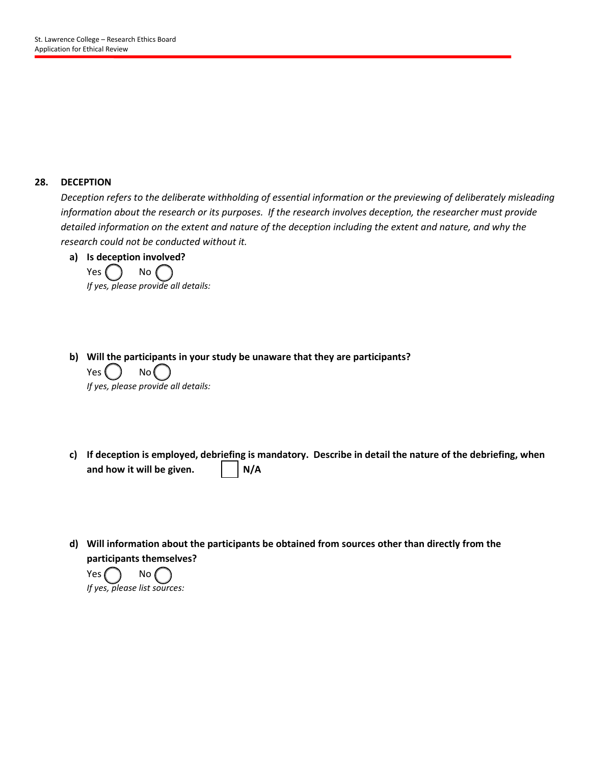### **28. DECEPTION**

*Deception refers to the deliberate withholding of essential information or the previewing of deliberately misleading information about the research or its purposes. If the research involves deception, the researcher must provide detailed information on the extent and nature of the deception including the extent and nature, and why the research could not be conducted without it.*



- **b) Will the participants in your study be unaware that they are participants?**  $Yes() No()$ *If yes, please provide all details:*
- **c) If deception is employed, debriefing is mandatory. Describe in detail the nature of the debriefing, when**  and how it will be given.  $\vert \cdot \vert N/A$
- **d) Will information about the participants be obtained from sources other than directly from the participants themselves?**

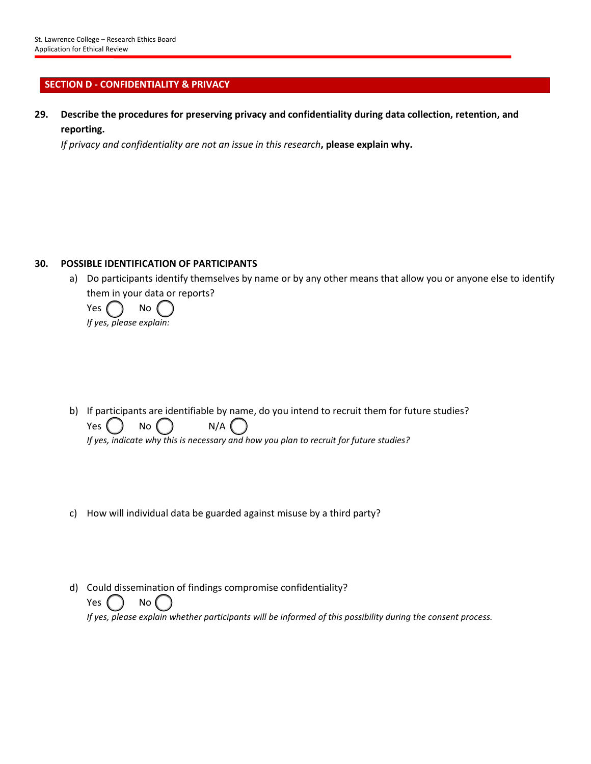# **SECTION D - CONFIDENTIALITY & PRIVACY**

**29. Describe the procedures for preserving privacy and confidentiality during data collection, retention, and reporting.**

*If privacy and confidentiality are not an issue in this research***, please explain why.**

### **30. POSSIBLE IDENTIFICATION OF PARTICIPANTS**

a) Do participants identify themselves by name or by any other means that allow you or anyone else to identify them in your data or reports?

Yes  $\left( \begin{array}{cc} \end{array} \right)$  No *If yes, please explain:*

- b) If participants are identifiable by name, do you intend to recruit them for future studies? Yes  $\begin{pmatrix} 1 & 0 \\ 0 & 0 \end{pmatrix}$  No  $\begin{pmatrix} 1 & 0 \\ 0 & 0 \end{pmatrix}$  N/A *If yes, indicate why this is necessary and how you plan to recruit for future studies?*
- c) How will individual data be guarded against misuse by a third party?
- d) Could dissemination of findings compromise confidentiality? Yes ( ) No *If yes, please explain whether participants will be informed of this possibility during the consent process.*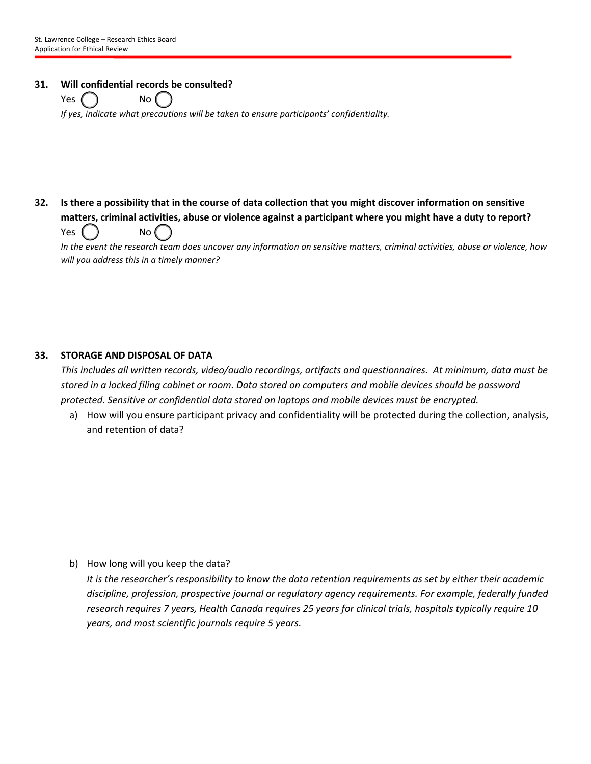### **31. Will confidential records be consulted?**

 $Yes \bigcap$  No  $\bigcap$ *If yes, indicate what precautions will be taken to ensure participants' confidentiality.*

# **32. Is there a possibility that in the course of data collection that you might discover information on sensitive matters, criminal activities, abuse or violence against a participant where you might have a duty to report?** Yes ( ) No (

*In the event the research team does uncover any information on sensitive matters, criminal activities, abuse or violence, how will you address this in a timely manner?*

# **33. STORAGE AND DISPOSAL OF DATA**

*This includes all written records, video/audio recordings, artifacts and questionnaires. At minimum, data must be stored in a locked filing cabinet or room. Data stored on computers and mobile devices should be password protected. Sensitive or confidential data stored on laptops and mobile devices must be encrypted.* 

a) How will you ensure participant privacy and confidentiality will be protected during the collection, analysis, and retention of data?

b) How long will you keep the data?

*It is the researcher's responsibility to know the data retention requirements as set by either their academic discipline, profession, prospective journal or regulatory agency requirements. For example, federally funded research requires 7 years, Health Canada requires 25 years for clinical trials, hospitals typically require 10 years, and most scientific journals require 5 years.*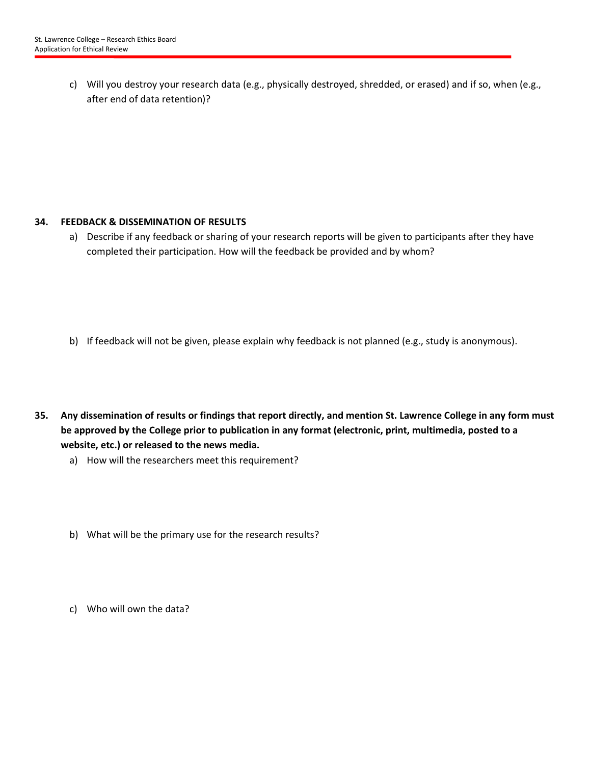c) Will you destroy your research data (e.g., physically destroyed, shredded, or erased) and if so, when (e.g., after end of data retention)?

### **34. FEEDBACK & DISSEMINATION OF RESULTS**

a) Describe if any feedback or sharing of your research reports will be given to participants after they have completed their participation. How will the feedback be provided and by whom?

- b) If feedback will not be given, please explain why feedback is not planned (e.g., study is anonymous).
- **35. Any dissemination of results or findings that report directly, and mention St. Lawrence College in any form must be approved by the College prior to publication in any format (electronic, print, multimedia, posted to a website, etc.) or released to the news media.**
	- a) How will the researchers meet this requirement?
	- b) What will be the primary use for the research results?
	- c) Who will own the data?